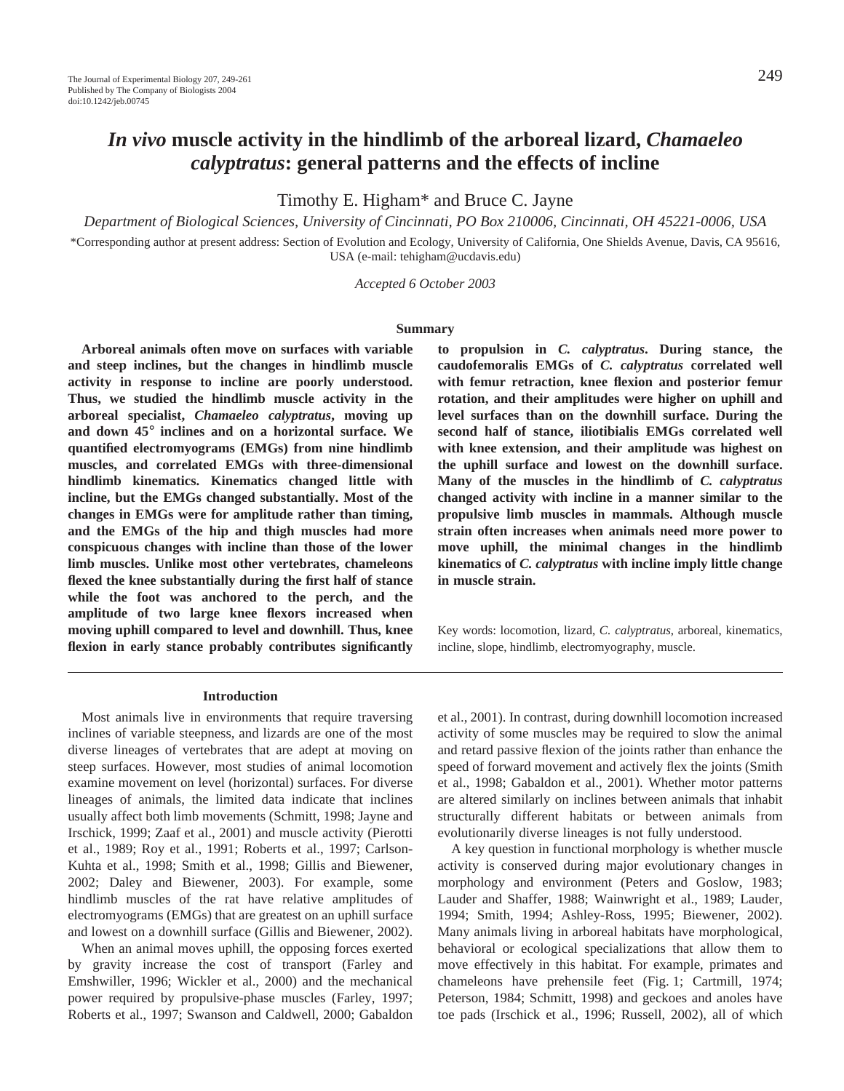Timothy E. Higham\* and Bruce C. Jayne

*Department of Biological Sciences, University of Cincinnati, PO Box 210006, Cincinnati, OH 45221-0006, USA*

\*Corresponding author at present address: Section of Evolution and Ecology, University of California, One Shields Avenue, Davis, CA 95616, USA (e-mail: tehigham@ucdavis.edu)

*Accepted 6 October 2003*

#### **Summary**

**Arboreal animals often move on surfaces with variable and steep inclines, but the changes in hindlimb muscle activity in response to incline are poorly understood. Thus, we studied the hindlimb muscle activity in the arboreal specialist,** *Chamaeleo calyptratus***, moving up and down 45**° **inclines and on a horizontal surface. We quantified electromyograms (EMGs) from nine hindlimb muscles, and correlated EMGs with three-dimensional hindlimb kinematics. Kinematics changed little with incline, but the EMGs changed substantially. Most of the changes in EMGs were for amplitude rather than timing, and the EMGs of the hip and thigh muscles had more conspicuous changes with incline than those of the lower limb muscles. Unlike most other vertebrates, chameleons flexed the knee substantially during the first half of stance while the foot was anchored to the perch, and the amplitude of two large knee flexors increased when moving uphill compared to level and downhill. Thus, knee flexion in early stance probably contributes significantly**

**to propulsion in** *C. calyptratus***. During stance, the caudofemoralis EMGs of** *C. calyptratus* **correlated well with femur retraction, knee flexion and posterior femur rotation, and their amplitudes were higher on uphill and level surfaces than on the downhill surface. During the second half of stance, iliotibialis EMGs correlated well with knee extension, and their amplitude was highest on the uphill surface and lowest on the downhill surface. Many of the muscles in the hindlimb of** *C. calyptratus* **changed activity with incline in a manner similar to the propulsive limb muscles in mammals. Although muscle strain often increases when animals need more power to move uphill, the minimal changes in the hindlimb kinematics of** *C. calyptratus* **with incline imply little change in muscle strain.**

Key words: locomotion, lizard, *C. calyptratus*, arboreal, kinematics, incline, slope, hindlimb, electromyography, muscle.

#### **Introduction**

Most animals live in environments that require traversing inclines of variable steepness, and lizards are one of the most diverse lineages of vertebrates that are adept at moving on steep surfaces. However, most studies of animal locomotion examine movement on level (horizontal) surfaces. For diverse lineages of animals, the limited data indicate that inclines usually affect both limb movements (Schmitt, 1998; Jayne and Irschick, 1999; Zaaf et al., 2001) and muscle activity (Pierotti et al., 1989; Roy et al., 1991; Roberts et al., 1997; Carlson-Kuhta et al., 1998; Smith et al., 1998; Gillis and Biewener, 2002; Daley and Biewener, 2003). For example, some hindlimb muscles of the rat have relative amplitudes of electromyograms (EMGs) that are greatest on an uphill surface and lowest on a downhill surface (Gillis and Biewener, 2002).

When an animal moves uphill, the opposing forces exerted by gravity increase the cost of transport (Farley and Emshwiller, 1996; Wickler et al., 2000) and the mechanical power required by propulsive-phase muscles (Farley, 1997; Roberts et al., 1997; Swanson and Caldwell, 2000; Gabaldon et al., 2001). In contrast, during downhill locomotion increased activity of some muscles may be required to slow the animal and retard passive flexion of the joints rather than enhance the speed of forward movement and actively flex the joints (Smith et al., 1998; Gabaldon et al., 2001). Whether motor patterns are altered similarly on inclines between animals that inhabit structurally different habitats or between animals from evolutionarily diverse lineages is not fully understood.

A key question in functional morphology is whether muscle activity is conserved during major evolutionary changes in morphology and environment (Peters and Goslow, 1983; Lauder and Shaffer, 1988; Wainwright et al., 1989; Lauder, 1994; Smith, 1994; Ashley-Ross, 1995; Biewener, 2002). Many animals living in arboreal habitats have morphological, behavioral or ecological specializations that allow them to move effectively in this habitat. For example, primates and chameleons have prehensile feet (Fig. 1; Cartmill, 1974; Peterson, 1984; Schmitt, 1998) and geckoes and anoles have toe pads (Irschick et al., 1996; Russell, 2002), all of which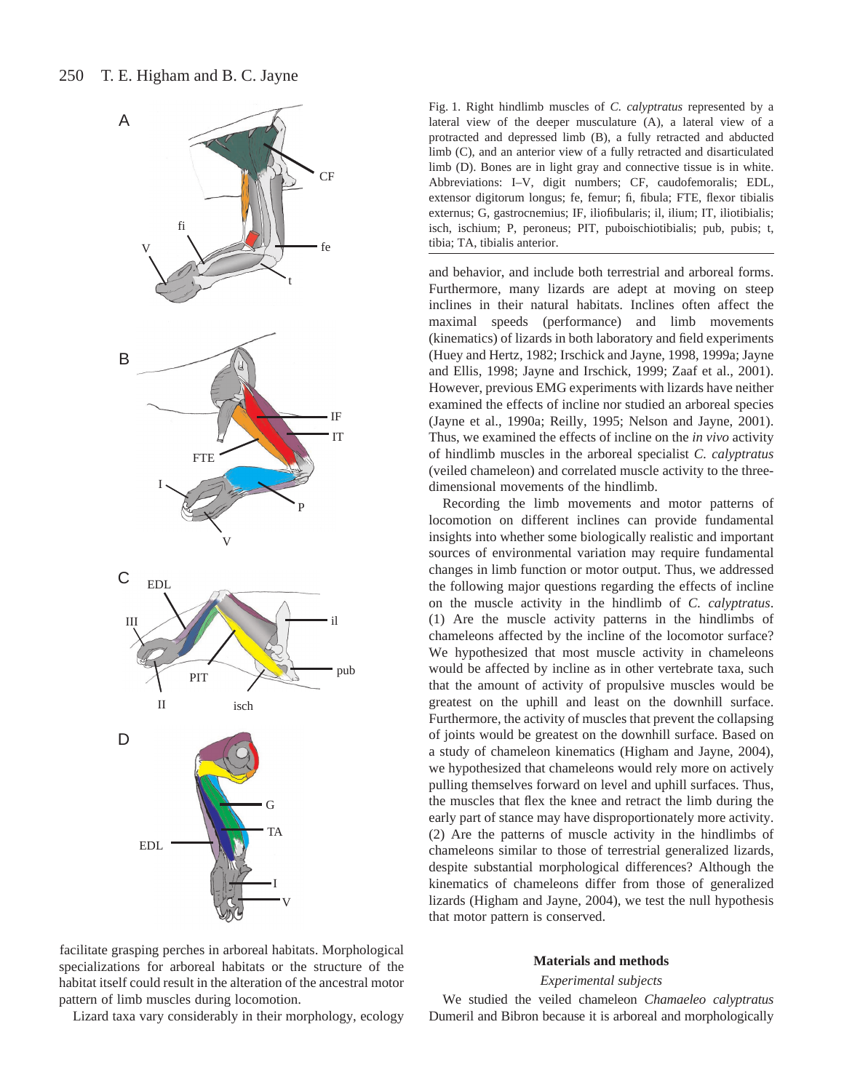

facilitate grasping perches in arboreal habitats. Morphological specializations for arboreal habitats or the structure of the habitat itself could result in the alteration of the ancestral motor pattern of limb muscles during locomotion.

Lizard taxa vary considerably in their morphology, ecology

Fig. 1. Right hindlimb muscles of *C. calyptratus* represented by a lateral view of the deeper musculature (A), a lateral view of a protracted and depressed limb (B), a fully retracted and abducted limb (C), and an anterior view of a fully retracted and disarticulated limb (D). Bones are in light gray and connective tissue is in white. Abbreviations: I–V, digit numbers; CF, caudofemoralis; EDL, extensor digitorum longus; fe, femur; fi, fibula; FTE, flexor tibialis externus; G, gastrocnemius; IF, iliofibularis; il, ilium; IT, iliotibialis; isch, ischium; P, peroneus; PIT, puboischiotibialis; pub, pubis; t, tibia; TA, tibialis anterior.

and behavior, and include both terrestrial and arboreal forms. Furthermore, many lizards are adept at moving on steep inclines in their natural habitats. Inclines often affect the maximal speeds (performance) and limb movements (kinematics) of lizards in both laboratory and field experiments (Huey and Hertz, 1982; Irschick and Jayne, 1998, 1999a; Jayne and Ellis, 1998; Jayne and Irschick, 1999; Zaaf et al., 2001). However, previous EMG experiments with lizards have neither examined the effects of incline nor studied an arboreal species (Jayne et al., 1990a; Reilly, 1995; Nelson and Jayne, 2001). Thus, we examined the effects of incline on the *in vivo* activity of hindlimb muscles in the arboreal specialist *C. calyptratus* (veiled chameleon) and correlated muscle activity to the threedimensional movements of the hindlimb.

Recording the limb movements and motor patterns of locomotion on different inclines can provide fundamental insights into whether some biologically realistic and important sources of environmental variation may require fundamental changes in limb function or motor output. Thus, we addressed the following major questions regarding the effects of incline on the muscle activity in the hindlimb of *C. calyptratus*. (1) Are the muscle activity patterns in the hindlimbs of chameleons affected by the incline of the locomotor surface? We hypothesized that most muscle activity in chameleons would be affected by incline as in other vertebrate taxa, such that the amount of activity of propulsive muscles would be greatest on the uphill and least on the downhill surface. Furthermore, the activity of muscles that prevent the collapsing of joints would be greatest on the downhill surface. Based on a study of chameleon kinematics (Higham and Jayne, 2004), we hypothesized that chameleons would rely more on actively pulling themselves forward on level and uphill surfaces. Thus, the muscles that flex the knee and retract the limb during the early part of stance may have disproportionately more activity. (2) Are the patterns of muscle activity in the hindlimbs of chameleons similar to those of terrestrial generalized lizards, despite substantial morphological differences? Although the kinematics of chameleons differ from those of generalized lizards (Higham and Jayne, 2004), we test the null hypothesis that motor pattern is conserved.

# **Materials and methods**

*Experimental subjects*

We studied the veiled chameleon *Chamaeleo calyptratus* Dumeril and Bibron because it is arboreal and morphologically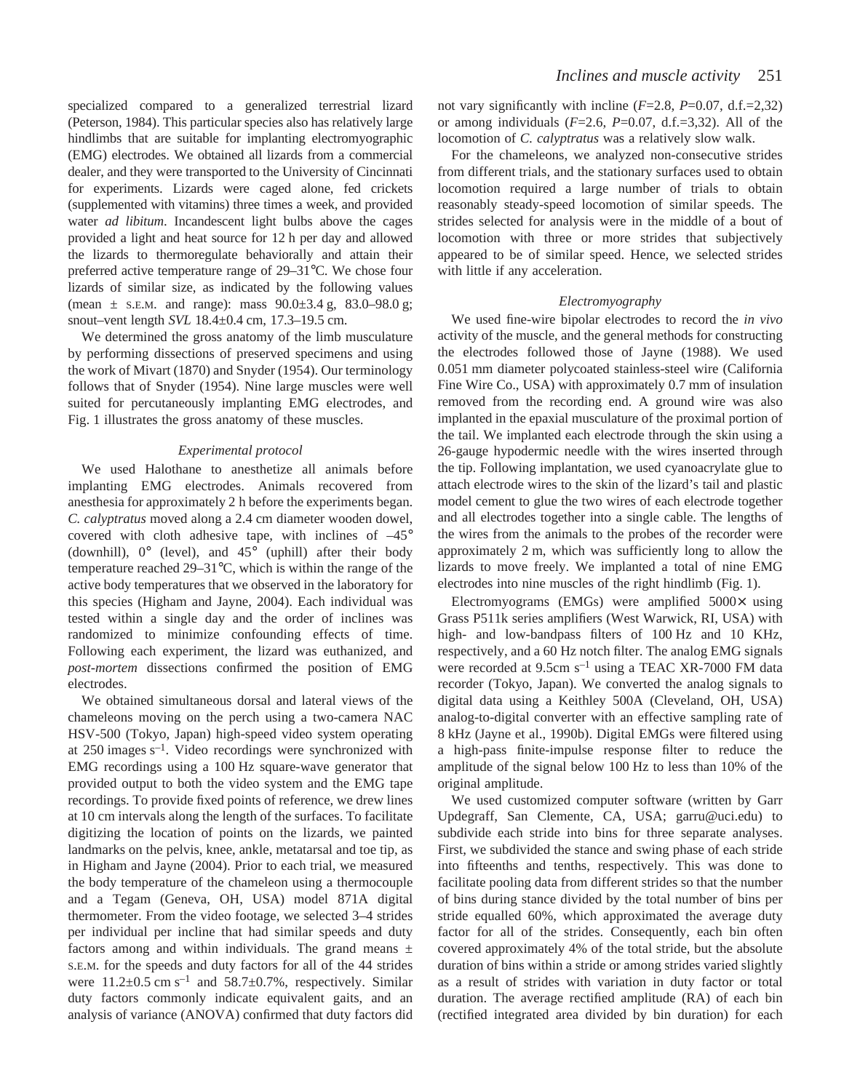specialized compared to a generalized terrestrial lizard (Peterson, 1984). This particular species also has relatively large hindlimbs that are suitable for implanting electromyographic (EMG) electrodes. We obtained all lizards from a commercial dealer, and they were transported to the University of Cincinnati for experiments. Lizards were caged alone, fed crickets (supplemented with vitamins) three times a week, and provided water *ad libitum*. Incandescent light bulbs above the cages provided a light and heat source for 12 h per day and allowed the lizards to thermoregulate behaviorally and attain their preferred active temperature range of 29–31°C. We chose four lizards of similar size, as indicated by the following values (mean  $\pm$  s.e.m. and range): mass  $90.0\pm3.4$  g, 83.0–98.0 g; snout–vent length *SVL* 18.4±0.4 cm, 17.3–19.5 cm.

We determined the gross anatomy of the limb musculature by performing dissections of preserved specimens and using the work of Mivart (1870) and Snyder (1954). Our terminology follows that of Snyder (1954). Nine large muscles were well suited for percutaneously implanting EMG electrodes, and Fig. 1 illustrates the gross anatomy of these muscles.

## *Experimental protocol*

We used Halothane to anesthetize all animals before implanting EMG electrodes. Animals recovered from anesthesia for approximately 2 h before the experiments began. *C. calyptratus* moved along a 2.4 cm diameter wooden dowel, covered with cloth adhesive tape, with inclines of  $-45^{\circ}$ (downhill), 0° (level), and 45° (uphill) after their body temperature reached 29–31°C, which is within the range of the active body temperatures that we observed in the laboratory for this species (Higham and Jayne, 2004). Each individual was tested within a single day and the order of inclines was randomized to minimize confounding effects of time. Following each experiment, the lizard was euthanized, and *post-mortem* dissections confirmed the position of EMG electrodes.

We obtained simultaneous dorsal and lateral views of the chameleons moving on the perch using a two-camera NAC HSV-500 (Tokyo, Japan) high-speed video system operating at  $250$  images  $s^{-1}$ . Video recordings were synchronized with EMG recordings using a 100 Hz square-wave generator that provided output to both the video system and the EMG tape recordings. To provide fixed points of reference, we drew lines at 10 cm intervals along the length of the surfaces. To facilitate digitizing the location of points on the lizards, we painted landmarks on the pelvis, knee, ankle, metatarsal and toe tip, as in Higham and Jayne (2004). Prior to each trial, we measured the body temperature of the chameleon using a thermocouple and a Tegam (Geneva, OH, USA) model 871A digital thermometer. From the video footage, we selected 3–4 strides per individual per incline that had similar speeds and duty factors among and within individuals. The grand means  $\pm$ S.E.M. for the speeds and duty factors for all of the 44 strides were  $11.2\pm0.5$  cm s<sup>-1</sup> and 58.7 $\pm$ 0.7%, respectively. Similar duty factors commonly indicate equivalent gaits, and an analysis of variance (ANOVA) confirmed that duty factors did

not vary significantly with incline (*F*=2.8, *P*=0.07, d.f.=2,32) or among individuals  $(F=2.6, P=0.07, d.f.=3.32)$ . All of the locomotion of *C. calyptratus* was a relatively slow walk.

For the chameleons, we analyzed non-consecutive strides from different trials, and the stationary surfaces used to obtain locomotion required a large number of trials to obtain reasonably steady-speed locomotion of similar speeds. The strides selected for analysis were in the middle of a bout of locomotion with three or more strides that subjectively appeared to be of similar speed. Hence, we selected strides with little if any acceleration.

## *Electromyography*

We used fine-wire bipolar electrodes to record the *in vivo* activity of the muscle, and the general methods for constructing the electrodes followed those of Jayne (1988). We used 0.051 mm diameter polycoated stainless-steel wire (California Fine Wire Co., USA) with approximately 0.7 mm of insulation removed from the recording end. A ground wire was also implanted in the epaxial musculature of the proximal portion of the tail. We implanted each electrode through the skin using a 26-gauge hypodermic needle with the wires inserted through the tip. Following implantation, we used cyanoacrylate glue to attach electrode wires to the skin of the lizard's tail and plastic model cement to glue the two wires of each electrode together and all electrodes together into a single cable. The lengths of the wires from the animals to the probes of the recorder were approximately  $2m$ , which was sufficiently long to allow the lizards to move freely. We implanted a total of nine EMG electrodes into nine muscles of the right hindlimb (Fig. 1).

Electromyograms (EMGs) were amplified  $5000 \times$  using Grass P511k series amplifiers (West Warwick, RI, USA) with high- and low-bandpass filters of 100 Hz and 10 KHz, respectively, and a 60 Hz notch filter. The analog EMG signals were recorded at  $9.5cm s^{-1}$  using a TEAC XR-7000 FM data recorder (Tokyo, Japan). We converted the analog signals to digital data using a Keithley 500A (Cleveland, OH, USA) analog-to-digital converter with an effective sampling rate of 8·kHz (Jayne et al., 1990b). Digital EMGs were filtered using a high-pass finite-impulse response filter to reduce the amplitude of the signal below 100 Hz to less than 10% of the original amplitude.

We used customized computer software (written by Garr Updegraff, San Clemente, CA, USA; garru@uci.edu) to subdivide each stride into bins for three separate analyses. First, we subdivided the stance and swing phase of each stride into fifteenths and tenths, respectively. This was done to facilitate pooling data from different strides so that the number of bins during stance divided by the total number of bins per stride equalled 60%, which approximated the average duty factor for all of the strides. Consequently, each bin often covered approximately 4% of the total stride, but the absolute duration of bins within a stride or among strides varied slightly as a result of strides with variation in duty factor or total duration. The average rectified amplitude (RA) of each bin (rectified integrated area divided by bin duration) for each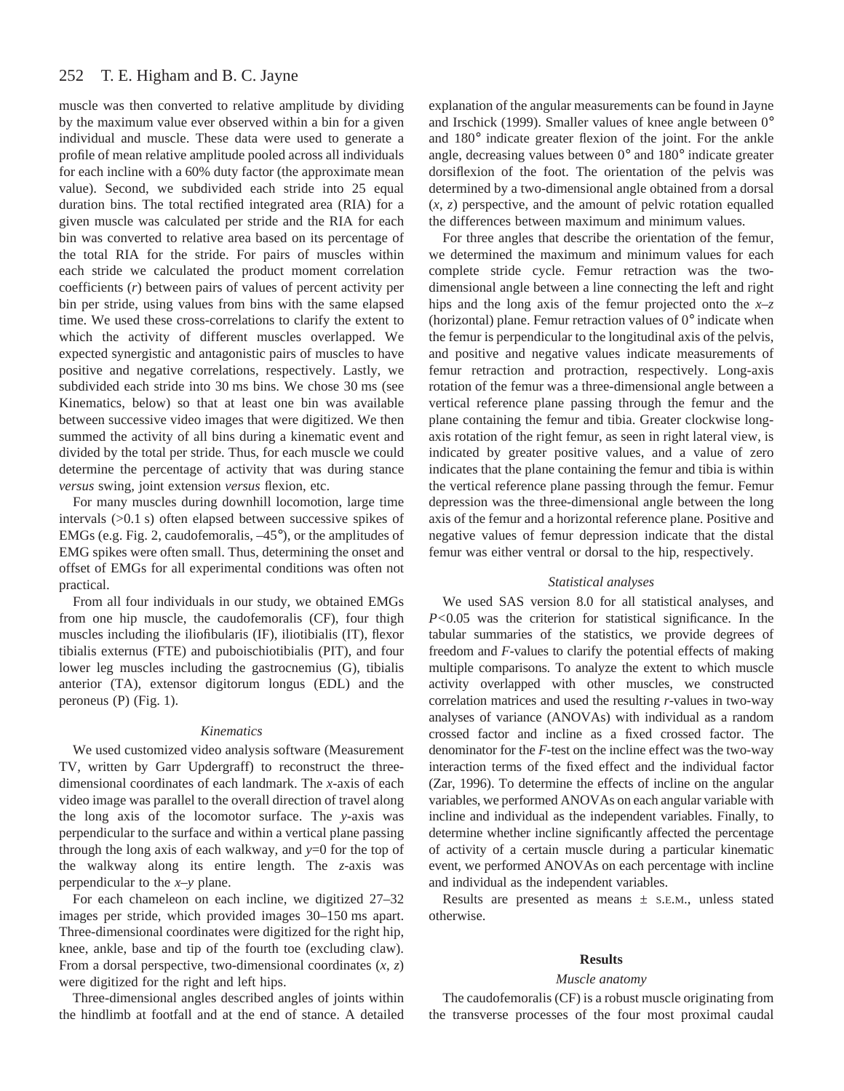#### 252 T. E. Higham and B. C. Jayne

muscle was then converted to relative amplitude by dividing by the maximum value ever observed within a bin for a given individual and muscle. These data were used to generate a profile of mean relative amplitude pooled across all individuals for each incline with a 60% duty factor (the approximate mean value). Second, we subdivided each stride into 25 equal duration bins. The total rectified integrated area (RIA) for a given muscle was calculated per stride and the RIA for each bin was converted to relative area based on its percentage of the total RIA for the stride. For pairs of muscles within each stride we calculated the product moment correlation coefficients (*r*) between pairs of values of percent activity per bin per stride, using values from bins with the same elapsed time. We used these cross-correlations to clarify the extent to which the activity of different muscles overlapped. We expected synergistic and antagonistic pairs of muscles to have positive and negative correlations, respectively. Lastly, we subdivided each stride into 30 ms bins. We chose 30 ms (see Kinematics, below) so that at least one bin was available between successive video images that were digitized. We then summed the activity of all bins during a kinematic event and divided by the total per stride. Thus, for each muscle we could determine the percentage of activity that was during stance *versus* swing, joint extension *versus* flexion, etc.

For many muscles during downhill locomotion, large time intervals  $(>0.1\text{ s})$  often elapsed between successive spikes of EMGs (e.g. Fig. 2, caudofemoralis,  $-45^{\circ}$ ), or the amplitudes of EMG spikes were often small. Thus, determining the onset and offset of EMGs for all experimental conditions was often not practical.

From all four individuals in our study, we obtained EMGs from one hip muscle, the caudofemoralis (CF), four thigh muscles including the iliofibularis (IF), iliotibialis (IT), flexor tibialis externus (FTE) and puboischiotibialis (PIT), and four lower leg muscles including the gastrocnemius (G), tibialis anterior (TA), extensor digitorum longus (EDL) and the peroneus  $(P)$  (Fig. 1).

## *Kinematics*

We used customized video analysis software (Measurement TV, written by Garr Updergraff) to reconstruct the threedimensional coordinates of each landmark. The *x*-axis of each video image was parallel to the overall direction of travel along the long axis of the locomotor surface. The *y*-axis was perpendicular to the surface and within a vertical plane passing through the long axis of each walkway, and *y*=0 for the top of the walkway along its entire length. The *z*-axis was perpendicular to the *x*–*y* plane.

For each chameleon on each incline, we digitized 27–32 images per stride, which provided images 30-150 ms apart. Three-dimensional coordinates were digitized for the right hip, knee, ankle, base and tip of the fourth toe (excluding claw). From a dorsal perspective, two-dimensional coordinates (*x*, *z*) were digitized for the right and left hips.

Three-dimensional angles described angles of joints within the hindlimb at footfall and at the end of stance. A detailed explanation of the angular measurements can be found in Jayne and Irschick (1999). Smaller values of knee angle between 0° and 180° indicate greater flexion of the joint. For the ankle angle, decreasing values between 0° and 180° indicate greater dorsiflexion of the foot. The orientation of the pelvis was determined by a two-dimensional angle obtained from a dorsal (*x*, *z*) perspective, and the amount of pelvic rotation equalled the differences between maximum and minimum values.

For three angles that describe the orientation of the femur, we determined the maximum and minimum values for each complete stride cycle. Femur retraction was the twodimensional angle between a line connecting the left and right hips and the long axis of the femur projected onto the *x*–*z* (horizontal) plane. Femur retraction values of 0° indicate when the femur is perpendicular to the longitudinal axis of the pelvis, and positive and negative values indicate measurements of femur retraction and protraction, respectively. Long-axis rotation of the femur was a three-dimensional angle between a vertical reference plane passing through the femur and the plane containing the femur and tibia. Greater clockwise longaxis rotation of the right femur, as seen in right lateral view, is indicated by greater positive values, and a value of zero indicates that the plane containing the femur and tibia is within the vertical reference plane passing through the femur. Femur depression was the three-dimensional angle between the long axis of the femur and a horizontal reference plane. Positive and negative values of femur depression indicate that the distal femur was either ventral or dorsal to the hip, respectively.

#### *Statistical analyses*

We used SAS version 8.0 for all statistical analyses, and *P<*0.05 was the criterion for statistical significance. In the tabular summaries of the statistics, we provide degrees of freedom and *F*-values to clarify the potential effects of making multiple comparisons. To analyze the extent to which muscle activity overlapped with other muscles, we constructed correlation matrices and used the resulting *r*-values in two-way analyses of variance (ANOVAs) with individual as a random crossed factor and incline as a fixed crossed factor. The denominator for the *F*-test on the incline effect was the two-way interaction terms of the fixed effect and the individual factor (Zar, 1996). To determine the effects of incline on the angular variables, we performed ANOVAs on each angular variable with incline and individual as the independent variables. Finally, to determine whether incline significantly affected the percentage of activity of a certain muscle during a particular kinematic event, we performed ANOVAs on each percentage with incline and individual as the independent variables.

Results are presented as means  $\pm$  s.E.M., unless stated otherwise.

#### **Results**

## *Muscle anatomy*

The caudofemoralis (CF) is a robust muscle originating from the transverse processes of the four most proximal caudal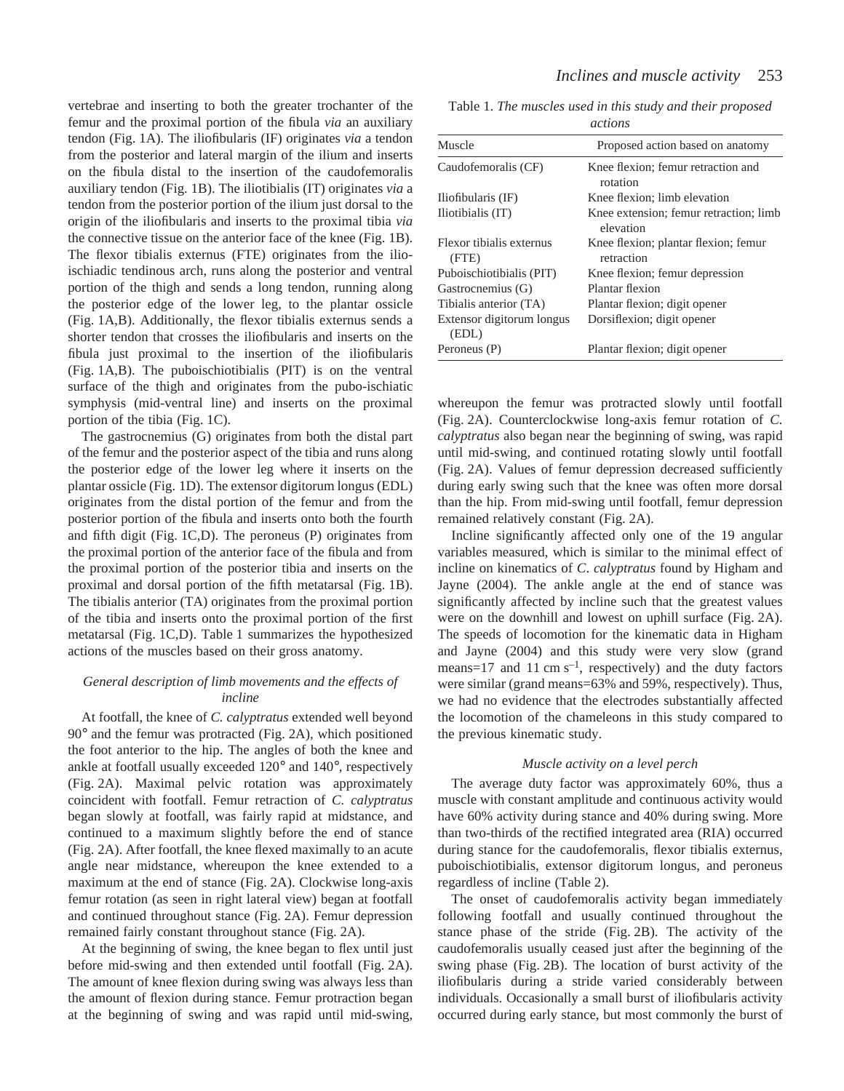vertebrae and inserting to both the greater trochanter of the femur and the proximal portion of the fibula *via* an auxiliary tendon (Fig. 1A). The iliofibularis (IF) originates *via* a tendon from the posterior and lateral margin of the ilium and inserts on the fibula distal to the insertion of the caudofemoralis auxiliary tendon (Fig. 1B). The iliotibialis (IT) originates *via* a tendon from the posterior portion of the ilium just dorsal to the origin of the iliofibularis and inserts to the proximal tibia *via* the connective tissue on the anterior face of the knee (Fig. 1B). The flexor tibialis externus (FTE) originates from the ilioischiadic tendinous arch, runs along the posterior and ventral portion of the thigh and sends a long tendon, running along the posterior edge of the lower leg, to the plantar ossicle (Fig. 1A,B). Additionally, the flexor tibialis externus sends a shorter tendon that crosses the iliofibularis and inserts on the fibula just proximal to the insertion of the iliofibularis (Fig. 1A,B). The puboischiotibialis (PIT) is on the ventral surface of the thigh and originates from the pubo-ischiatic symphysis (mid-ventral line) and inserts on the proximal portion of the tibia (Fig.  $1C$ ).

The gastrocnemius (G) originates from both the distal part of the femur and the posterior aspect of the tibia and runs along the posterior edge of the lower leg where it inserts on the plantar ossicle (Fig.·1D). The extensor digitorum longus (EDL) originates from the distal portion of the femur and from the posterior portion of the fibula and inserts onto both the fourth and fifth digit (Fig.  $1C,D$ ). The peroneus (P) originates from the proximal portion of the anterior face of the fibula and from the proximal portion of the posterior tibia and inserts on the proximal and dorsal portion of the fifth metatarsal (Fig. 1B). The tibialis anterior (TA) originates from the proximal portion of the tibia and inserts onto the proximal portion of the first metatarsal (Fig. 1C,D). Table 1 summarizes the hypothesized actions of the muscles based on their gross anatomy.

# *General description of limb movements and the effects of incline*

At footfall, the knee of *C. calyptratus* extended well beyond  $90^\circ$  and the femur was protracted (Fig. 2A), which positioned the foot anterior to the hip. The angles of both the knee and ankle at footfall usually exceeded 120° and 140°, respectively (Fig. 2A). Maximal pelvic rotation was approximately coincident with footfall. Femur retraction of *C. calyptratus* began slowly at footfall, was fairly rapid at midstance, and continued to a maximum slightly before the end of stance (Fig. 2A). After footfall, the knee flexed maximally to an acute angle near midstance, whereupon the knee extended to a maximum at the end of stance (Fig. 2A). Clockwise long-axis femur rotation (as seen in right lateral view) began at footfall and continued throughout stance (Fig. 2A). Femur depression remained fairly constant throughout stance (Fig. 2A).

At the beginning of swing, the knee began to flex until just before mid-swing and then extended until footfall (Fig. 2A). The amount of knee flexion during swing was always less than the amount of flexion during stance. Femur protraction began at the beginning of swing and was rapid until mid-swing,

Table 1. *The muscles used in this study and their proposed actions*

| Muscle                             | Proposed action based on anatomy                    |  |  |  |  |  |
|------------------------------------|-----------------------------------------------------|--|--|--|--|--|
| Caudofemoralis (CF)                | Knee flexion; femur retraction and<br>rotation      |  |  |  |  |  |
| Iliofibularis (IF)                 | Knee flexion; limb elevation                        |  |  |  |  |  |
| Iliotibialis (IT)                  | Knee extension; femur retraction; limb<br>elevation |  |  |  |  |  |
| Flexor tibialis externus<br>(FTE)  | Knee flexion; plantar flexion; femur<br>retraction  |  |  |  |  |  |
| Puboischiotibialis (PIT)           | Knee flexion; femur depression                      |  |  |  |  |  |
| Gastrocnemius (G)                  | Plantar flexion                                     |  |  |  |  |  |
| Tibialis anterior (TA)             | Plantar flexion; digit opener                       |  |  |  |  |  |
| Extensor digitorum longus<br>(EDL) | Dorsiflexion; digit opener                          |  |  |  |  |  |
| Peroneus (P)                       | Plantar flexion; digit opener                       |  |  |  |  |  |

whereupon the femur was protracted slowly until footfall (Fig. 2A). Counterclockwise long-axis femur rotation of *C*. *calyptratus* also began near the beginning of swing, was rapid until mid-swing, and continued rotating slowly until footfall (Fig. 2A). Values of femur depression decreased sufficiently during early swing such that the knee was often more dorsal than the hip. From mid-swing until footfall, femur depression remained relatively constant (Fig. 2A).

Incline significantly affected only one of the 19 angular variables measured, which is similar to the minimal effect of incline on kinematics of *C*. *calyptratus* found by Higham and Jayne (2004). The ankle angle at the end of stance was significantly affected by incline such that the greatest values were on the downhill and lowest on uphill surface (Fig. 2A). The speeds of locomotion for the kinematic data in Higham and Jayne (2004) and this study were very slow (grand means=17 and 11 cm  $s^{-1}$ , respectively) and the duty factors were similar (grand means=63% and 59%, respectively). Thus, we had no evidence that the electrodes substantially affected the locomotion of the chameleons in this study compared to the previous kinematic study.

#### *Muscle activity on a level perch*

The average duty factor was approximately 60%, thus a muscle with constant amplitude and continuous activity would have 60% activity during stance and 40% during swing. More than two-thirds of the rectified integrated area (RIA) occurred during stance for the caudofemoralis, flexor tibialis externus, puboischiotibialis, extensor digitorum longus, and peroneus regardless of incline (Table 2).

The onset of caudofemoralis activity began immediately following footfall and usually continued throughout the stance phase of the stride (Fig. 2B). The activity of the caudofemoralis usually ceased just after the beginning of the swing phase (Fig. 2B). The location of burst activity of the iliofibularis during a stride varied considerably between individuals. Occasionally a small burst of iliofibularis activity occurred during early stance, but most commonly the burst of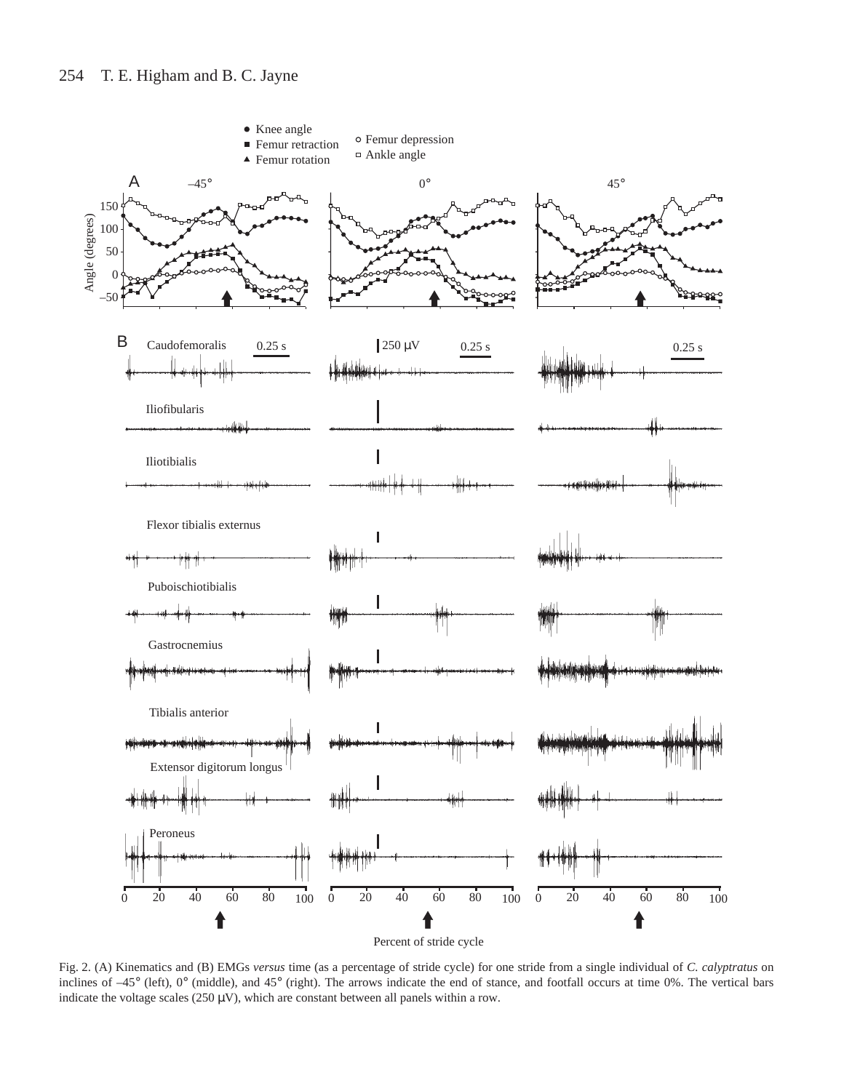

Fig. 2. (A) Kinematics and (B) EMGs *versus* time (as a percentage of stride cycle) for one stride from a single individual of *C. calyptratus* on inclines of  $-45^{\circ}$  (left),  $0^{\circ}$  (middle), and  $45^{\circ}$  (right). The arrows indicate the end of stance, and footfall occurs at time 0%. The vertical bars indicate the voltage scales (250  $\mu$ V), which are constant between all panels within a row.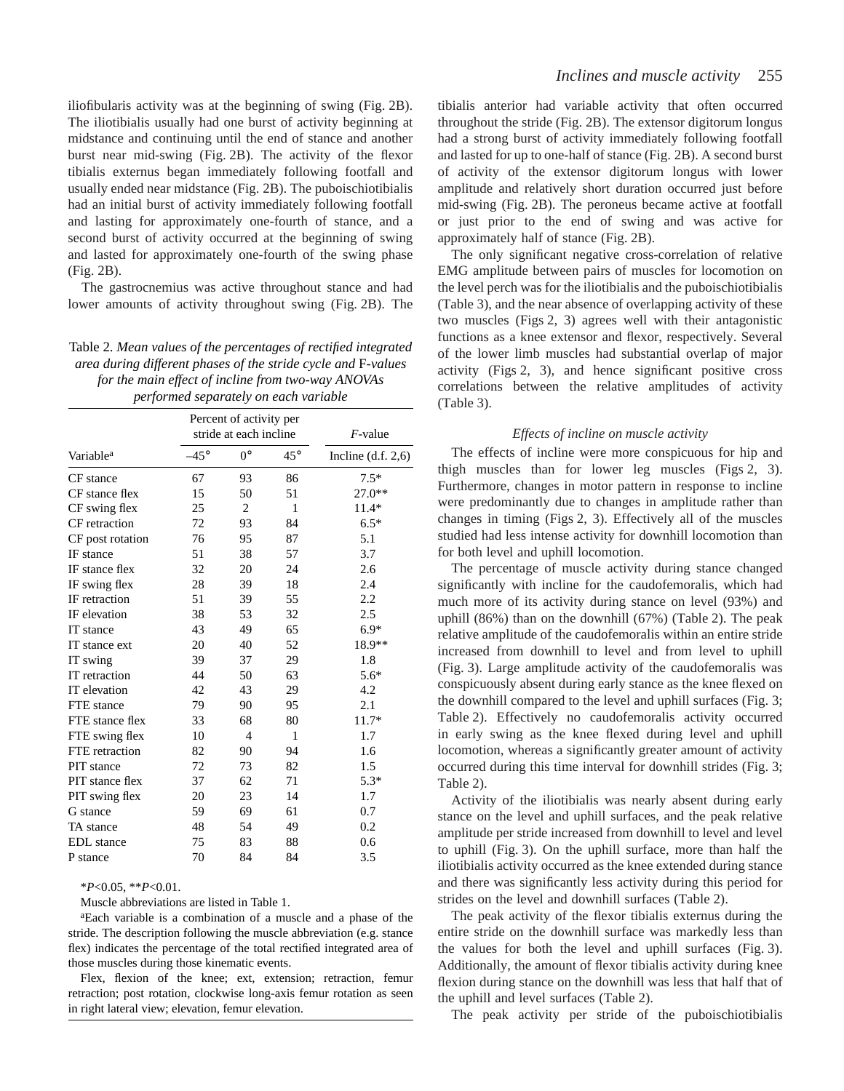iliofibularis activity was at the beginning of swing (Fig. 2B). The iliotibialis usually had one burst of activity beginning at midstance and continuing until the end of stance and another burst near mid-swing (Fig. 2B). The activity of the flexor tibialis externus began immediately following footfall and usually ended near midstance (Fig. 2B). The puboischiotibialis had an initial burst of activity immediately following footfall and lasting for approximately one-fourth of stance, and a second burst of activity occurred at the beginning of swing and lasted for approximately one-fourth of the swing phase  $(Fig. 2B)$ .

The gastrocnemius was active throughout stance and had lower amounts of activity throughout swing (Fig. 2B). The

Table 2. *Mean values of the percentages of rectified integrated area during different phases of the stride cycle and* F*-values for the main effect of incline from two-way ANOVAs performed separately on each variable*

|                       |             | Percent of activity per<br>stride at each incline | <i>F</i> -value |                      |  |  |
|-----------------------|-------------|---------------------------------------------------|-----------------|----------------------|--|--|
| Variable <sup>a</sup> | $-45^\circ$ | $0^{\circ}$                                       | $45^{\circ}$    | Incline $(d.f. 2,6)$ |  |  |
| CF stance             | 67          | 93                                                | 86              | $7.5*$               |  |  |
| CF stance flex        | 15          | 50                                                | 51              | $27.0**$             |  |  |
| CF swing flex         | 25          | 2                                                 | 1               | $11.4*$              |  |  |
| CF retraction         | 72          | 93                                                | 84              | $6.5*$               |  |  |
| CF post rotation      | 76          | 95                                                | 87              | 5.1                  |  |  |
| IF stance             | 51          | 38                                                | 57              | 3.7                  |  |  |
| IF stance flex        | 32          | 20                                                | 24              | 2.6                  |  |  |
| IF swing flex         | 28          | 39                                                | 18              | 2.4                  |  |  |
| IF retraction         | 51          | 39                                                | 55              | 2.2                  |  |  |
| IF elevation          | 38          | 53                                                | 32              | 2.5                  |  |  |
| IT stance             | 43          | 49                                                | 65              | $6.9*$               |  |  |
| IT stance ext         | 20          | 40                                                | 52              | 18.9**               |  |  |
| IT swing              | 39          | 37                                                | 29              | 1.8                  |  |  |
| IT retraction         | 44          | 50                                                | 63              | $5.6*$               |  |  |
| IT elevation          | 42          | 43                                                | 29              | 4.2                  |  |  |
| FTE stance            | 79          | 90                                                | 95              | 2.1                  |  |  |
| FTE stance flex       | 33          | 68                                                | 80              | 11.7*                |  |  |
| FTE swing flex        | 10          | $\overline{4}$                                    | 1               | 1.7                  |  |  |
| FTE retraction        | 82          | 90                                                | 94              | 1.6                  |  |  |
| PIT stance            | 72          | 73                                                | 82              | 1.5                  |  |  |
| PIT stance flex       | 37          | 62                                                | 71              | $5.3*$               |  |  |
| PIT swing flex        | 20          | 23                                                | 14              | 1.7                  |  |  |
| G stance              | 59          | 69                                                | 61              | 0.7                  |  |  |
| TA stance             | 48          | 54                                                | 49              | 0.2                  |  |  |
| <b>EDL</b> stance     | 75          | 83                                                | 88              | 0.6                  |  |  |
| P stance              | 70          | 84                                                | 84              | 3.5                  |  |  |

\**P*<0.05, \*\**P*<0.01.

Muscle abbreviations are listed in Table 1.<br><sup>a</sup>Each variable is a combination of a muscle and a phase of the stride. The description following the muscle abbreviation (e.g. stance flex) indicates the percentage of the total rectified integrated area of those muscles during those kinematic events.

Flex, flexion of the knee; ext, extension; retraction, femur retraction; post rotation, clockwise long-axis femur rotation as seen in right lateral view; elevation, femur elevation.

tibialis anterior had variable activity that often occurred throughout the stride (Fig. 2B). The extensor digitorum longus had a strong burst of activity immediately following footfall and lasted for up to one-half of stance (Fig. 2B). A second burst of activity of the extensor digitorum longus with lower amplitude and relatively short duration occurred just before mid-swing (Fig. 2B). The peroneus became active at footfall or just prior to the end of swing and was active for approximately half of stance (Fig. 2B).

The only significant negative cross-correlation of relative EMG amplitude between pairs of muscles for locomotion on the level perch was for the iliotibialis and the puboischiotibialis (Table 3), and the near absence of overlapping activity of these two muscles (Figs 2, 3) agrees well with their antagonistic functions as a knee extensor and flexor, respectively. Several of the lower limb muscles had substantial overlap of major activity (Figs  $2$ ,  $3$ ), and hence significant positive cross correlations between the relative amplitudes of activity  $(Table 3)$ .

## *Effects of incline on muscle activity*

The effects of incline were more conspicuous for hip and thigh muscles than for lower leg muscles (Figs  $2, 3$ ). Furthermore, changes in motor pattern in response to incline were predominantly due to changes in amplitude rather than changes in timing (Figs  $2, 3$ ). Effectively all of the muscles studied had less intense activity for downhill locomotion than for both level and uphill locomotion.

The percentage of muscle activity during stance changed significantly with incline for the caudofemoralis, which had much more of its activity during stance on level (93%) and uphill  $(86\%)$  than on the downhill  $(67\%)$  (Table 2). The peak relative amplitude of the caudofemoralis within an entire stride increased from downhill to level and from level to uphill (Fig. 3). Large amplitude activity of the caudofemoralis was conspicuously absent during early stance as the knee flexed on the downhill compared to the level and uphill surfaces (Fig. 3; Table 2). Effectively no caudofemoralis activity occurred in early swing as the knee flexed during level and uphill locomotion, whereas a significantly greater amount of activity occurred during this time interval for downhill strides (Fig. 3; Table 2).

Activity of the iliotibialis was nearly absent during early stance on the level and uphill surfaces, and the peak relative amplitude per stride increased from downhill to level and level to uphill (Fig. 3). On the uphill surface, more than half the iliotibialis activity occurred as the knee extended during stance and there was significantly less activity during this period for strides on the level and downhill surfaces (Table 2).

The peak activity of the flexor tibialis externus during the entire stride on the downhill surface was markedly less than the values for both the level and uphill surfaces (Fig. 3). Additionally, the amount of flexor tibialis activity during knee flexion during stance on the downhill was less that half that of the uphill and level surfaces (Table 2).

The peak activity per stride of the puboischiotibialis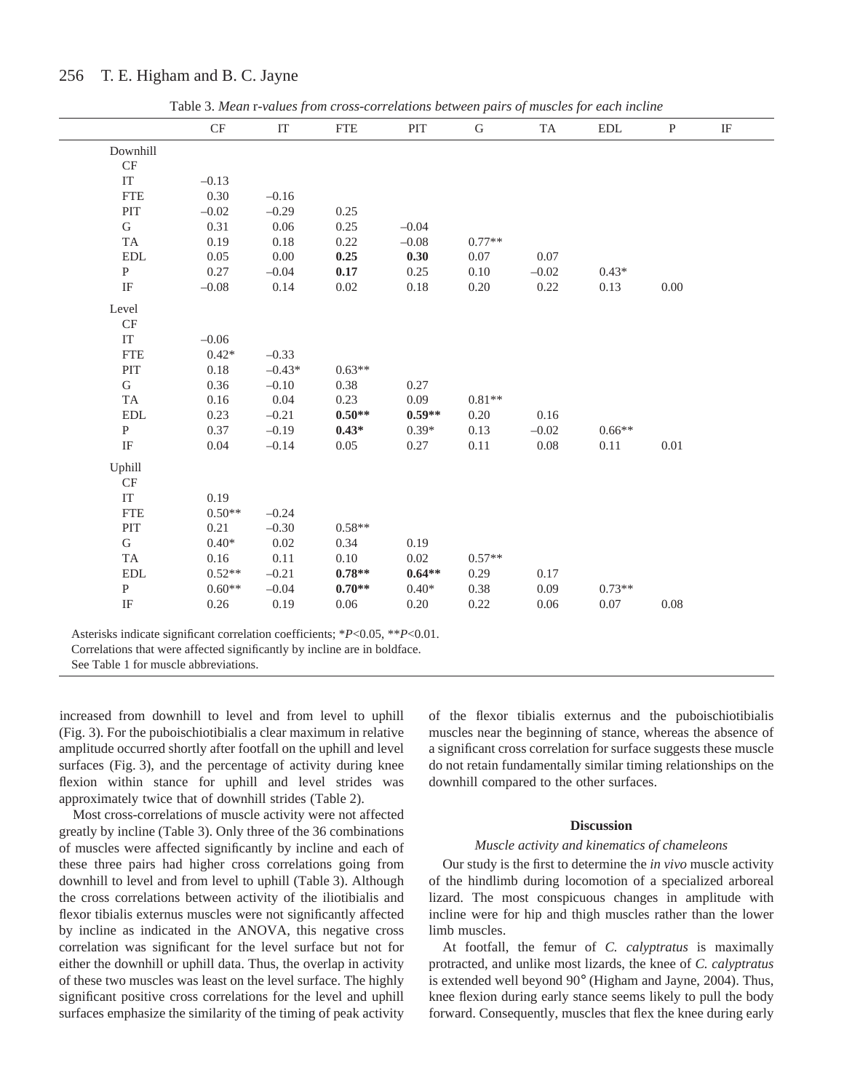|                      | CF       | IT       | <b>FTE</b> | PIT      | G        | TA      | EDL      | $\, {\bf P}$ | IF |
|----------------------|----------|----------|------------|----------|----------|---------|----------|--------------|----|
| Downhill             |          |          |            |          |          |         |          |              |    |
| $\rm CF$             |          |          |            |          |          |         |          |              |    |
| IT                   | $-0.13$  |          |            |          |          |         |          |              |    |
| <b>FTE</b>           | 0.30     | $-0.16$  |            |          |          |         |          |              |    |
| PIT                  | $-0.02$  | $-0.29$  | 0.25       |          |          |         |          |              |    |
| G                    | 0.31     | 0.06     | 0.25       | $-0.04$  |          |         |          |              |    |
| TA                   | 0.19     | 0.18     | 0.22       | $-0.08$  | $0.77**$ |         |          |              |    |
| $\operatorname{EDL}$ | 0.05     | 0.00     | 0.25       | 0.30     | 0.07     | 0.07    |          |              |    |
| $\, {\bf P}$         | 0.27     | $-0.04$  | 0.17       | 0.25     | $0.10\,$ | $-0.02$ | $0.43*$  |              |    |
| IF                   | $-0.08$  | 0.14     | 0.02       | $0.18\,$ | 0.20     | 0.22    | 0.13     | $0.00\,$     |    |
| Level                |          |          |            |          |          |         |          |              |    |
| $\rm CF$             |          |          |            |          |          |         |          |              |    |
| IT                   | $-0.06$  |          |            |          |          |         |          |              |    |
| <b>FTE</b>           | $0.42*$  | $-0.33$  |            |          |          |         |          |              |    |
| PIT                  | $0.18\,$ | $-0.43*$ | $0.63**$   |          |          |         |          |              |    |
| $\mathbf G$          | 0.36     | $-0.10$  | 0.38       | 0.27     |          |         |          |              |    |
| TA                   | 0.16     | 0.04     | 0.23       | 0.09     | $0.81**$ |         |          |              |    |
| $\operatorname{EDL}$ | 0.23     | $-0.21$  | $0.50**$   | $0.59**$ | 0.20     | 0.16    |          |              |    |
| $\mathbf{P}$         | 0.37     | $-0.19$  | $0.43*$    | $0.39*$  | 0.13     | $-0.02$ | $0.66**$ |              |    |
| $\rm IF$             | 0.04     | $-0.14$  | 0.05       | 0.27     | 0.11     | 0.08    | 0.11     | $0.01\,$     |    |
| Uphill               |          |          |            |          |          |         |          |              |    |
| $\rm CF$             |          |          |            |          |          |         |          |              |    |
| IT                   | 0.19     |          |            |          |          |         |          |              |    |
| <b>FTE</b>           | $0.50**$ | $-0.24$  |            |          |          |         |          |              |    |
| PIT                  | 0.21     | $-0.30$  | $0.58**$   |          |          |         |          |              |    |
| G                    | $0.40*$  | 0.02     | 0.34       | 0.19     |          |         |          |              |    |
| TA                   | 0.16     | 0.11     | 0.10       | 0.02     | $0.57**$ |         |          |              |    |
| $\operatorname{EDL}$ | $0.52**$ | $-0.21$  | $0.78**$   | $0.64**$ | 0.29     | 0.17    |          |              |    |
| $\, {\bf P}$         | $0.60**$ | $-0.04$  | $0.70**$   | $0.40*$  | 0.38     | 0.09    | $0.73**$ |              |    |
| IF                   | 0.26     | 0.19     | 0.06       | 0.20     | 0.22     | 0.06    | 0.07     | 0.08         |    |
|                      |          |          |            |          |          |         |          |              |    |

256 T. E. Higham and B. C. Jayne

Table·3. *Mean* r*-values from cross-correlations between pairs of muscles for each incline* 

Asterisks indicate significant correlation coefficients; \**P*<0.05, \*\**P*<0.01. Correlations that were affected significantly by incline are in boldface.

See Table 1 for muscle abbreviations.

increased from downhill to level and from level to uphill (Fig. 3). For the puboischiotibialis a clear maximum in relative amplitude occurred shortly after footfall on the uphill and level surfaces (Fig. 3), and the percentage of activity during knee flexion within stance for uphill and level strides was approximately twice that of downhill strides (Table 2).

Most cross-correlations of muscle activity were not affected greatly by incline (Table 3). Only three of the 36 combinations of muscles were affected significantly by incline and each of these three pairs had higher cross correlations going from downhill to level and from level to uphill (Table 3). Although the cross correlations between activity of the iliotibialis and flexor tibialis externus muscles were not significantly affected by incline as indicated in the ANOVA, this negative cross correlation was significant for the level surface but not for either the downhill or uphill data. Thus, the overlap in activity of these two muscles was least on the level surface. The highly significant positive cross correlations for the level and uphill surfaces emphasize the similarity of the timing of peak activity

of the flexor tibialis externus and the puboischiotibialis muscles near the beginning of stance, whereas the absence of a significant cross correlation for surface suggests these muscle do not retain fundamentally similar timing relationships on the downhill compared to the other surfaces.

# **Discussion**

### *Muscle activity and kinematics of chameleons*

Our study is the first to determine the *in vivo* muscle activity of the hindlimb during locomotion of a specialized arboreal lizard. The most conspicuous changes in amplitude with incline were for hip and thigh muscles rather than the lower limb muscles.

At footfall, the femur of *C. calyptratus* is maximally protracted, and unlike most lizards, the knee of *C. calyptratus* is extended well beyond 90° (Higham and Jayne, 2004). Thus, knee flexion during early stance seems likely to pull the body forward. Consequently, muscles that flex the knee during early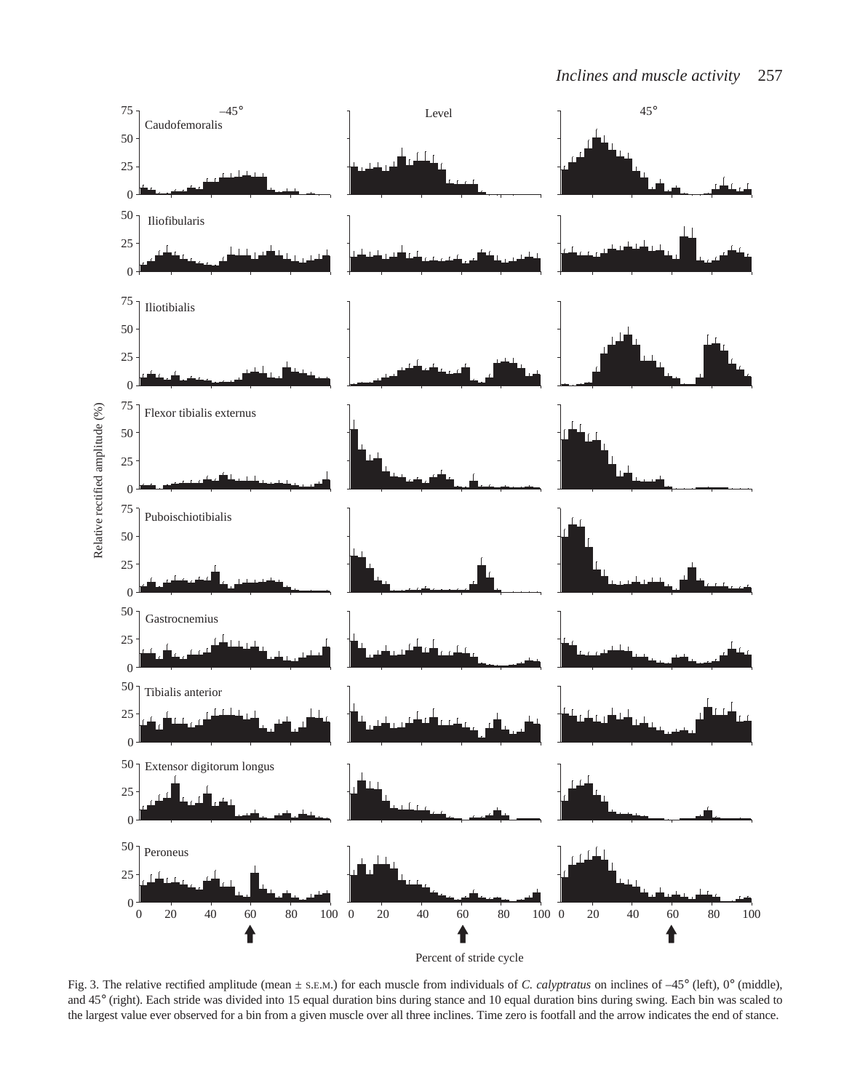

Percent of stride cycle

Fig. 3. The relative rectified amplitude (mean  $\pm$  s.E.M.) for each muscle from individuals of *C. calyptratus* on inclines of -45° (left), 0° (middle), and 45° (right). Each stride was divided into 15 equal duration bins during stance and 10 equal duration bins during swing. Each bin was scaled to the largest value ever observed for a bin from a given muscle over all three inclines. Time zero is footfall and the arrow indicates the end of stance.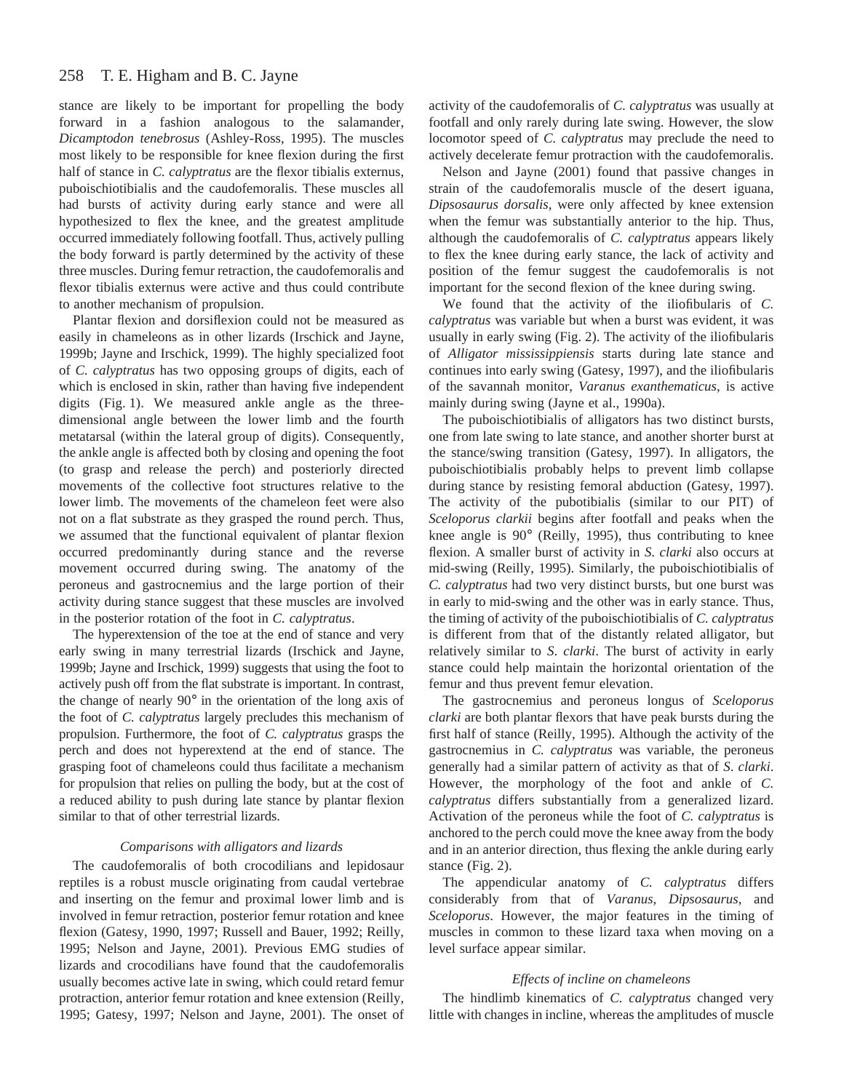#### 258 T. E. Higham and B. C. Jayne

stance are likely to be important for propelling the body forward in a fashion analogous to the salamander, *Dicamptodon tenebrosus* (Ashley-Ross, 1995). The muscles most likely to be responsible for knee flexion during the first half of stance in *C. calyptratus* are the flexor tibialis externus, puboischiotibialis and the caudofemoralis. These muscles all had bursts of activity during early stance and were all hypothesized to flex the knee, and the greatest amplitude occurred immediately following footfall. Thus, actively pulling the body forward is partly determined by the activity of these three muscles. During femur retraction, the caudofemoralis and flexor tibialis externus were active and thus could contribute to another mechanism of propulsion.

Plantar flexion and dorsiflexion could not be measured as easily in chameleons as in other lizards (Irschick and Jayne, 1999b; Jayne and Irschick, 1999). The highly specialized foot of *C. calyptratus* has two opposing groups of digits, each of which is enclosed in skin, rather than having five independent digits (Fig. 1). We measured ankle angle as the threedimensional angle between the lower limb and the fourth metatarsal (within the lateral group of digits). Consequently, the ankle angle is affected both by closing and opening the foot (to grasp and release the perch) and posteriorly directed movements of the collective foot structures relative to the lower limb. The movements of the chameleon feet were also not on a flat substrate as they grasped the round perch. Thus, we assumed that the functional equivalent of plantar flexion occurred predominantly during stance and the reverse movement occurred during swing. The anatomy of the peroneus and gastrocnemius and the large portion of their activity during stance suggest that these muscles are involved in the posterior rotation of the foot in *C. calyptratus*.

The hyperextension of the toe at the end of stance and very early swing in many terrestrial lizards (Irschick and Jayne, 1999b; Jayne and Irschick, 1999) suggests that using the foot to actively push off from the flat substrate is important. In contrast, the change of nearly 90° in the orientation of the long axis of the foot of *C. calyptratus* largely precludes this mechanism of propulsion. Furthermore, the foot of *C. calyptratus* grasps the perch and does not hyperextend at the end of stance. The grasping foot of chameleons could thus facilitate a mechanism for propulsion that relies on pulling the body, but at the cost of a reduced ability to push during late stance by plantar flexion similar to that of other terrestrial lizards.

## *Comparisons with alligators and lizards*

The caudofemoralis of both crocodilians and lepidosaur reptiles is a robust muscle originating from caudal vertebrae and inserting on the femur and proximal lower limb and is involved in femur retraction, posterior femur rotation and knee flexion (Gatesy, 1990, 1997; Russell and Bauer, 1992; Reilly, 1995; Nelson and Jayne, 2001). Previous EMG studies of lizards and crocodilians have found that the caudofemoralis usually becomes active late in swing, which could retard femur protraction, anterior femur rotation and knee extension (Reilly, 1995; Gatesy, 1997; Nelson and Jayne, 2001). The onset of

activity of the caudofemoralis of *C. calyptratus* was usually at footfall and only rarely during late swing. However, the slow locomotor speed of *C. calyptratus* may preclude the need to actively decelerate femur protraction with the caudofemoralis.

Nelson and Jayne (2001) found that passive changes in strain of the caudofemoralis muscle of the desert iguana, *Dipsosaurus dorsalis*, were only affected by knee extension when the femur was substantially anterior to the hip. Thus, although the caudofemoralis of *C. calyptratus* appears likely to flex the knee during early stance, the lack of activity and position of the femur suggest the caudofemoralis is not important for the second flexion of the knee during swing.

We found that the activity of the iliofibularis of *C. calyptratus* was variable but when a burst was evident, it was usually in early swing (Fig. 2). The activity of the iliofibularis of *Alligator mississippiensis* starts during late stance and continues into early swing (Gatesy, 1997), and the iliofibularis of the savannah monitor, *Varanus exanthematicus*, is active mainly during swing (Jayne et al., 1990a).

The puboischiotibialis of alligators has two distinct bursts, one from late swing to late stance, and another shorter burst at the stance/swing transition (Gatesy, 1997). In alligators, the puboischiotibialis probably helps to prevent limb collapse during stance by resisting femoral abduction (Gatesy, 1997). The activity of the pubotibialis (similar to our PIT) of *Sceloporus clarkii* begins after footfall and peaks when the knee angle is 90° (Reilly, 1995), thus contributing to knee flexion. A smaller burst of activity in *S*. *clarki* also occurs at mid-swing (Reilly, 1995). Similarly, the puboischiotibialis of *C. calyptratus* had two very distinct bursts, but one burst was in early to mid-swing and the other was in early stance. Thus, the timing of activity of the puboischiotibialis of *C. calyptratus* is different from that of the distantly related alligator, but relatively similar to *S*. *clarki*. The burst of activity in early stance could help maintain the horizontal orientation of the femur and thus prevent femur elevation.

The gastrocnemius and peroneus longus of *Sceloporus clarki* are both plantar flexors that have peak bursts during the first half of stance (Reilly, 1995). Although the activity of the gastrocnemius in *C. calyptratus* was variable, the peroneus generally had a similar pattern of activity as that of *S*. *clarki*. However, the morphology of the foot and ankle of *C. calyptratus* differs substantially from a generalized lizard. Activation of the peroneus while the foot of *C. calyptratus* is anchored to the perch could move the knee away from the body and in an anterior direction, thus flexing the ankle during early stance (Fig.  $2$ ).

The appendicular anatomy of *C. calyptratus* differs considerably from that of *Varanus*, *Dipsosaurus*, and *Sceloporus*. However, the major features in the timing of muscles in common to these lizard taxa when moving on a level surface appear similar.

### *Effects of incline on chameleons*

The hindlimb kinematics of *C. calyptratus* changed very little with changes in incline, whereas the amplitudes of muscle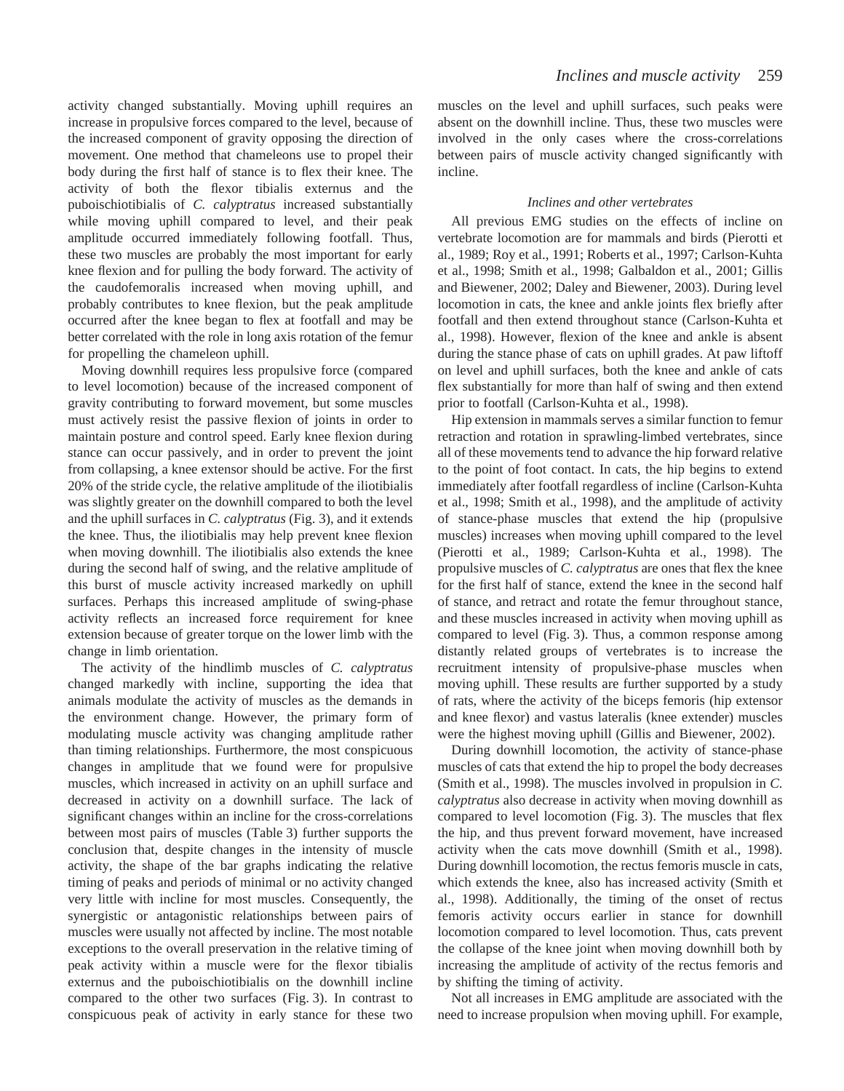activity changed substantially. Moving uphill requires an increase in propulsive forces compared to the level, because of the increased component of gravity opposing the direction of movement. One method that chameleons use to propel their body during the first half of stance is to flex their knee. The activity of both the flexor tibialis externus and the puboischiotibialis of *C. calyptratus* increased substantially while moving uphill compared to level, and their peak amplitude occurred immediately following footfall. Thus, these two muscles are probably the most important for early knee flexion and for pulling the body forward. The activity of the caudofemoralis increased when moving uphill, and probably contributes to knee flexion, but the peak amplitude occurred after the knee began to flex at footfall and may be better correlated with the role in long axis rotation of the femur for propelling the chameleon uphill.

Moving downhill requires less propulsive force (compared to level locomotion) because of the increased component of gravity contributing to forward movement, but some muscles must actively resist the passive flexion of joints in order to maintain posture and control speed. Early knee flexion during stance can occur passively, and in order to prevent the joint from collapsing, a knee extensor should be active. For the first 20% of the stride cycle, the relative amplitude of the iliotibialis was slightly greater on the downhill compared to both the level and the uphill surfaces in *C. calyptratus* (Fig. 3), and it extends the knee. Thus, the iliotibialis may help prevent knee flexion when moving downhill. The iliotibialis also extends the knee during the second half of swing, and the relative amplitude of this burst of muscle activity increased markedly on uphill surfaces. Perhaps this increased amplitude of swing-phase activity reflects an increased force requirement for knee extension because of greater torque on the lower limb with the change in limb orientation.

The activity of the hindlimb muscles of *C. calyptratus* changed markedly with incline, supporting the idea that animals modulate the activity of muscles as the demands in the environment change. However, the primary form of modulating muscle activity was changing amplitude rather than timing relationships. Furthermore, the most conspicuous changes in amplitude that we found were for propulsive muscles, which increased in activity on an uphill surface and decreased in activity on a downhill surface. The lack of significant changes within an incline for the cross-correlations between most pairs of muscles (Table 3) further supports the conclusion that, despite changes in the intensity of muscle activity, the shape of the bar graphs indicating the relative timing of peaks and periods of minimal or no activity changed very little with incline for most muscles. Consequently, the synergistic or antagonistic relationships between pairs of muscles were usually not affected by incline. The most notable exceptions to the overall preservation in the relative timing of peak activity within a muscle were for the flexor tibialis externus and the puboischiotibialis on the downhill incline compared to the other two surfaces (Fig. 3). In contrast to conspicuous peak of activity in early stance for these two

muscles on the level and uphill surfaces, such peaks were absent on the downhill incline. Thus, these two muscles were involved in the only cases where the cross-correlations between pairs of muscle activity changed significantly with incline.

## *Inclines and other vertebrates*

All previous EMG studies on the effects of incline on vertebrate locomotion are for mammals and birds (Pierotti et al., 1989; Roy et al., 1991; Roberts et al., 1997; Carlson-Kuhta et al., 1998; Smith et al., 1998; Galbaldon et al., 2001; Gillis and Biewener, 2002; Daley and Biewener, 2003). During level locomotion in cats, the knee and ankle joints flex briefly after footfall and then extend throughout stance (Carlson-Kuhta et al., 1998). However, flexion of the knee and ankle is absent during the stance phase of cats on uphill grades. At paw liftoff on level and uphill surfaces, both the knee and ankle of cats flex substantially for more than half of swing and then extend prior to footfall (Carlson-Kuhta et al., 1998).

Hip extension in mammals serves a similar function to femur retraction and rotation in sprawling-limbed vertebrates, since all of these movements tend to advance the hip forward relative to the point of foot contact. In cats, the hip begins to extend immediately after footfall regardless of incline (Carlson-Kuhta et al., 1998; Smith et al., 1998), and the amplitude of activity of stance-phase muscles that extend the hip (propulsive muscles) increases when moving uphill compared to the level (Pierotti et al., 1989; Carlson-Kuhta et al., 1998). The propulsive muscles of *C. calyptratus* are ones that flex the knee for the first half of stance, extend the knee in the second half of stance, and retract and rotate the femur throughout stance, and these muscles increased in activity when moving uphill as compared to level (Fig. 3). Thus, a common response among distantly related groups of vertebrates is to increase the recruitment intensity of propulsive-phase muscles when moving uphill. These results are further supported by a study of rats, where the activity of the biceps femoris (hip extensor and knee flexor) and vastus lateralis (knee extender) muscles were the highest moving uphill (Gillis and Biewener, 2002).

During downhill locomotion, the activity of stance-phase muscles of cats that extend the hip to propel the body decreases (Smith et al., 1998). The muscles involved in propulsion in *C. calyptratus* also decrease in activity when moving downhill as compared to level locomotion (Fig. 3). The muscles that flex the hip, and thus prevent forward movement, have increased activity when the cats move downhill (Smith et al., 1998). During downhill locomotion, the rectus femoris muscle in cats, which extends the knee, also has increased activity (Smith et al., 1998). Additionally, the timing of the onset of rectus femoris activity occurs earlier in stance for downhill locomotion compared to level locomotion. Thus, cats prevent the collapse of the knee joint when moving downhill both by increasing the amplitude of activity of the rectus femoris and by shifting the timing of activity.

Not all increases in EMG amplitude are associated with the need to increase propulsion when moving uphill. For example,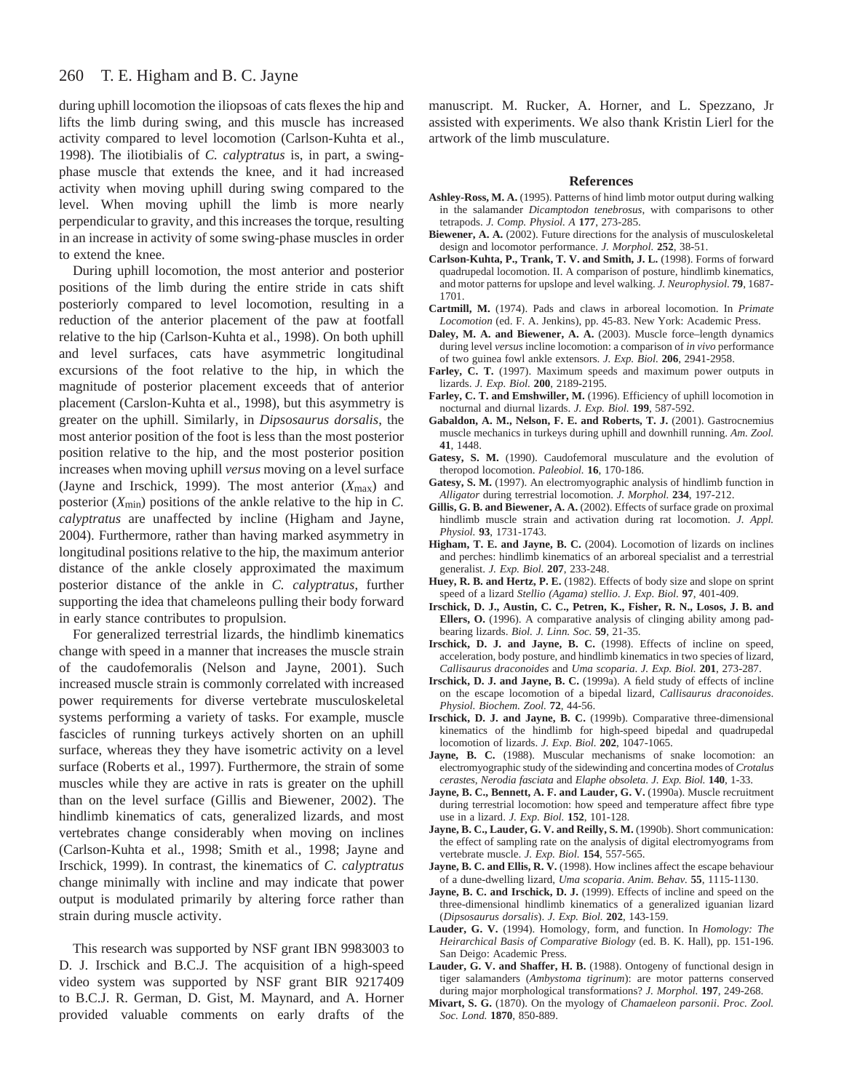#### 260 T. E. Higham and B. C. Jayne

during uphill locomotion the iliopsoas of cats flexes the hip and lifts the limb during swing, and this muscle has increased activity compared to level locomotion (Carlson-Kuhta et al., 1998). The iliotibialis of *C. calyptratus* is, in part, a swingphase muscle that extends the knee, and it had increased activity when moving uphill during swing compared to the level. When moving uphill the limb is more nearly perpendicular to gravity, and this increases the torque, resulting in an increase in activity of some swing-phase muscles in order to extend the knee.

During uphill locomotion, the most anterior and posterior positions of the limb during the entire stride in cats shift posteriorly compared to level locomotion, resulting in a reduction of the anterior placement of the paw at footfall relative to the hip (Carlson-Kuhta et al., 1998). On both uphill and level surfaces, cats have asymmetric longitudinal excursions of the foot relative to the hip, in which the magnitude of posterior placement exceeds that of anterior placement (Carslon-Kuhta et al., 1998), but this asymmetry is greater on the uphill. Similarly, in *Dipsosaurus dorsalis*, the most anterior position of the foot is less than the most posterior position relative to the hip, and the most posterior position increases when moving uphill *versus* moving on a level surface (Jayne and Irschick, 1999). The most anterior (*X*max) and posterior (*X*min) positions of the ankle relative to the hip in *C. calyptratus* are unaffected by incline (Higham and Jayne, 2004). Furthermore, rather than having marked asymmetry in longitudinal positions relative to the hip, the maximum anterior distance of the ankle closely approximated the maximum posterior distance of the ankle in *C. calyptratus*, further supporting the idea that chameleons pulling their body forward in early stance contributes to propulsion.

For generalized terrestrial lizards, the hindlimb kinematics change with speed in a manner that increases the muscle strain of the caudofemoralis (Nelson and Jayne, 2001). Such increased muscle strain is commonly correlated with increased power requirements for diverse vertebrate musculoskeletal systems performing a variety of tasks. For example, muscle fascicles of running turkeys actively shorten on an uphill surface, whereas they they have isometric activity on a level surface (Roberts et al., 1997). Furthermore, the strain of some muscles while they are active in rats is greater on the uphill than on the level surface (Gillis and Biewener, 2002). The hindlimb kinematics of cats, generalized lizards, and most vertebrates change considerably when moving on inclines (Carlson-Kuhta et al., 1998; Smith et al., 1998; Jayne and Irschick, 1999). In contrast, the kinematics of *C. calyptratus* change minimally with incline and may indicate that power output is modulated primarily by altering force rather than strain during muscle activity.

This research was supported by NSF grant IBN 9983003 to D. J. Irschick and B.C.J. The acquisition of a high-speed video system was supported by NSF grant BIR 9217409 to B.C.J. R. German, D. Gist, M. Maynard, and A. Horner provided valuable comments on early drafts of the manuscript. M. Rucker, A. Horner, and L. Spezzano, Jr assisted with experiments. We also thank Kristin Lierl for the artwork of the limb musculature.

#### **References**

- **Ashley-Ross, M. A.** (1995). Patterns of hind limb motor output during walking in the salamander *Dicamptodon tenebrosus*, with comparisons to other tetrapods. *J. Comp. Physiol. A* **177**, 273-285.
- **Biewener, A. A.** (2002). Future directions for the analysis of musculoskeletal design and locomotor performance. *J. Morphol.* **252**, 38-51.
- **Carlson-Kuhta, P., Trank, T. V. and Smith, J. L.** (1998). Forms of forward quadrupedal locomotion. II. A comparison of posture, hindlimb kinematics, and motor patterns for upslope and level walking. *J. Neurophysiol.* **79**, 1687- 1701.
- **Cartmill, M.** (1974). Pads and claws in arboreal locomotion. In *Primate Locomotion* (ed. F. A. Jenkins), pp. 45-83. New York: Academic Press.
- **Daley, M. A. and Biewener, A. A.** (2003). Muscle force–length dynamics during level *versus* incline locomotion: a comparison of *in vivo* performance of two guinea fowl ankle extensors. *J. Exp. Biol.* **206**, 2941-2958.
- Farley, C. T. (1997). Maximum speeds and maximum power outputs in lizards. *J. Exp. Biol.* **200**, 2189-2195.
- **Farley, C. T. and Emshwiller, M.** (1996). Efficiency of uphill locomotion in nocturnal and diurnal lizards. *J. Exp. Biol.* **199**, 587-592.
- **Gabaldon, A. M., Nelson, F. E. and Roberts, T. J.** (2001). Gastrocnemius muscle mechanics in turkeys during uphill and downhill running. *Am. Zool.* **41**, 1448.
- **Gatesy, S. M.** (1990). Caudofemoral musculature and the evolution of theropod locomotion. *Paleobiol.* **16**, 170-186.
- **Gatesy, S. M.** (1997). An electromyographic analysis of hindlimb function in *Alligator* during terrestrial locomotion. *J. Morphol.* **234**, 197-212.
- **Gillis, G. B. and Biewener, A. A.** (2002). Effects of surface grade on proximal hindlimb muscle strain and activation during rat locomotion. *J. Appl. Physiol.* **93**, 1731-1743.
- **Higham, T. E. and Jayne, B. C.** (2004). Locomotion of lizards on inclines and perches: hindlimb kinematics of an arboreal specialist and a terrestrial generalist. *J. Exp. Biol.* **207**, 233-248.
- **Huey, R. B. and Hertz, P. E.** (1982). Effects of body size and slope on sprint speed of a lizard *Stellio (Agama) stellio*. *J. Exp. Biol.* **97**, 401-409.
- **Irschick, D. J., Austin, C. C., Petren, K., Fisher, R. N., Losos, J. B. and Ellers, O.** (1996). A comparative analysis of clinging ability among padbearing lizards. *Biol. J. Linn. Soc.* **59**, 21-35.
- **Irschick, D. J. and Jayne, B. C.** (1998). Effects of incline on speed, acceleration, body posture, and hindlimb kinematics in two species of lizard, *Callisaurus draconoides* and *Uma scoparia*. *J. Exp. Biol.* **201**, 273-287.
- **Irschick, D. J. and Jayne, B. C.** (1999a). A field study of effects of incline on the escape locomotion of a bipedal lizard, *Callisaurus draconoides*. *Physiol. Biochem. Zool.* **72**, 44-56.
- **Irschick, D. J. and Jayne, B. C.** (1999b). Comparative three-dimensional kinematics of the hindlimb for high-speed bipedal and quadrupedal locomotion of lizards. *J. Exp. Biol.* **202**, 1047-1065.
- Jayne, B. C. (1988). Muscular mechanisms of snake locomotion: an electromyographic study of the sidewinding and concertina modes of *Crotalus cerastes*, *Nerodia fasciata* and *Elaphe obsoleta*. *J. Exp. Biol.* **140**, 1-33.
- **Jayne, B. C., Bennett, A. F. and Lauder, G. V.** (1990a). Muscle recruitment during terrestrial locomotion: how speed and temperature affect fibre type use in a lizard. *J. Exp. Biol.* **152**, 101-128.
- **Jayne, B. C., Lauder, G. V. and Reilly, S. M.** (1990b). Short communication: the effect of sampling rate on the analysis of digital electromyograms from vertebrate muscle. *J. Exp. Biol.* **154**, 557-565.
- **Jayne, B. C. and Ellis, R. V.** (1998). How inclines affect the escape behaviour of a dune-dwelling lizard, *Uma scoparia*. *Anim. Behav.* **55**, 1115-1130.
- **Jayne, B. C. and Irschick, D. J.** (1999). Effects of incline and speed on the three-dimensional hindlimb kinematics of a generalized iguanian lizard (*Dipsosaurus dorsalis*). *J. Exp. Biol.* **202**, 143-159.
- **Lauder, G. V.** (1994). Homology, form, and function. In *Homology: The Heirarchical Basis of Comparative Biology* (ed. B. K. Hall), pp. 151-196. San Deigo: Academic Press.
- **Lauder, G. V. and Shaffer, H. B.** (1988). Ontogeny of functional design in tiger salamanders (*Ambystoma tigrinum*): are motor patterns conserved during major morphological transformations? *J. Morphol.* **197**, 249-268.
- **Mivart, S. G.** (1870). On the myology of *Chamaeleon parsonii*. *Proc. Zool. Soc. Lond.* **1870**, 850-889.